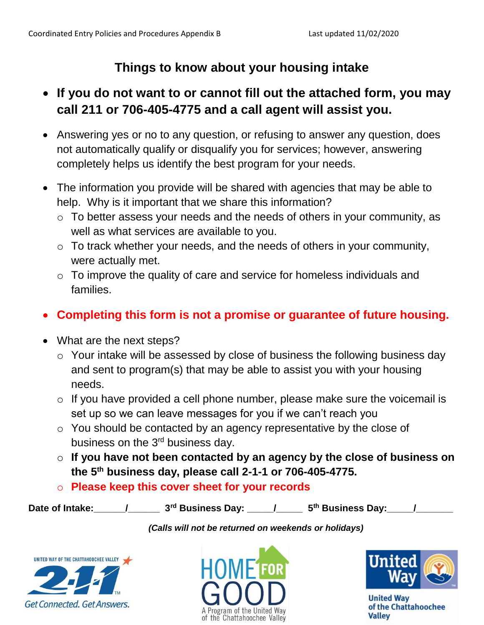## **Things to know about your housing intake**

## **If you do not want to or cannot fill out the attached form, you may call 211 or 706-405-4775 and a call agent will assist you.**

- Answering yes or no to any question, or refusing to answer any question, does not automatically qualify or disqualify you for services; however, answering completely helps us identify the best program for your needs.
- The information you provide will be shared with agencies that may be able to help. Why is it important that we share this information?
	- o To better assess your needs and the needs of others in your community, as well as what services are available to you.
	- o To track whether your needs, and the needs of others in your community, were actually met.
	- o To improve the quality of care and service for homeless individuals and families.

## **Completing this form is not a promise or guarantee of future housing.**

- What are the next steps?
	- o Your intake will be assessed by close of business the following business day and sent to program(s) that may be able to assist you with your housing needs.
	- $\circ$  If you have provided a cell phone number, please make sure the voicemail is set up so we can leave messages for you if we can't reach you
	- o You should be contacted by an agency representative by the close of business on the 3<sup>rd</sup> business day.
	- o **If you have not been contacted by an agency by the close of business on the 5th business day, please call 2-1-1 or 706-405-4775.**
	- o **Please keep this cover sheet for your records**

Date of Intake:  $\qquad$  /  $\qquad$  3<sup>rd</sup> Business Day:  $\qquad$  /  $\qquad$  5<sup>th</sup> Business Day:  $\qquad$  /

*(Calls will not be returned on weekends or holidays)*







**United Wav** of the Chattahoochee **Valley**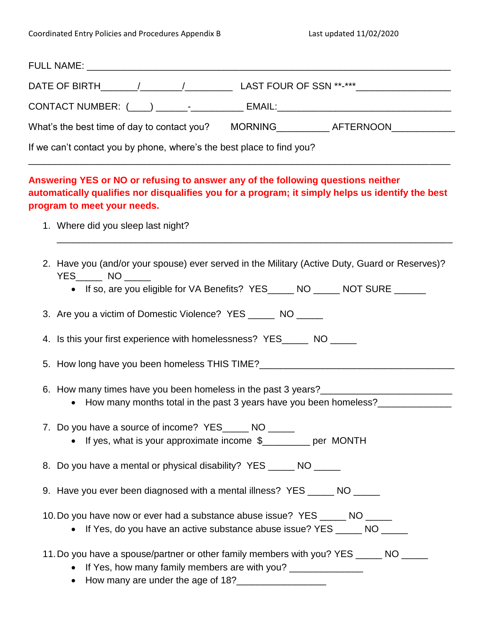| CONTACT NUMBER: (____) _______-__________ EMAIL:________________________________                                                                                                                                    |  |  |  |  |  |
|---------------------------------------------------------------------------------------------------------------------------------------------------------------------------------------------------------------------|--|--|--|--|--|
| What's the best time of day to contact you? MORNING____________AFTERNOON_____________                                                                                                                               |  |  |  |  |  |
| If we can't contact you by phone, where's the best place to find you?                                                                                                                                               |  |  |  |  |  |
| Answering YES or NO or refusing to answer any of the following questions neither<br>automatically qualifies nor disqualifies you for a program; it simply helps us identify the best<br>program to meet your needs. |  |  |  |  |  |
| 1. Where did you sleep last night?                                                                                                                                                                                  |  |  |  |  |  |
| 2. Have you (and/or your spouse) ever served in the Military (Active Duty, Guard or Reserves)?<br>$YES$ NO ______<br>• If so, are you eligible for VA Benefits? YES_____ NO _____ NOT SURE ______                   |  |  |  |  |  |
|                                                                                                                                                                                                                     |  |  |  |  |  |
| 3. Are you a victim of Domestic Violence? YES ______ NO _____                                                                                                                                                       |  |  |  |  |  |
| 4. Is this your first experience with homelessness? YES______ NO _____                                                                                                                                              |  |  |  |  |  |
| 5. How long have you been homeless THIS TIME?___________________________________                                                                                                                                    |  |  |  |  |  |
| 6. How many times have you been homeless in the past 3 years?____________________<br>• How many months total in the past 3 years have you been homeless?                                                            |  |  |  |  |  |
| 7. Do you have a source of income? YES______ NO _____<br>• If yes, what is your approximate income \$________ per MONTH                                                                                             |  |  |  |  |  |
| 8. Do you have a mental or physical disability? YES ______ NO ______                                                                                                                                                |  |  |  |  |  |
| 9. Have you ever been diagnosed with a mental illness? YES _____ NO _____                                                                                                                                           |  |  |  |  |  |
| 10. Do you have now or ever had a substance abuse issue? YES ______ NO ______<br>• If Yes, do you have an active substance abuse issue? YES _____ NO _____                                                          |  |  |  |  |  |
| 11. Do you have a spouse/partner or other family members with you? YES ______ NO _____<br>• If Yes, how many family members are with you? _______________<br>• How many are under the age of 18?                    |  |  |  |  |  |